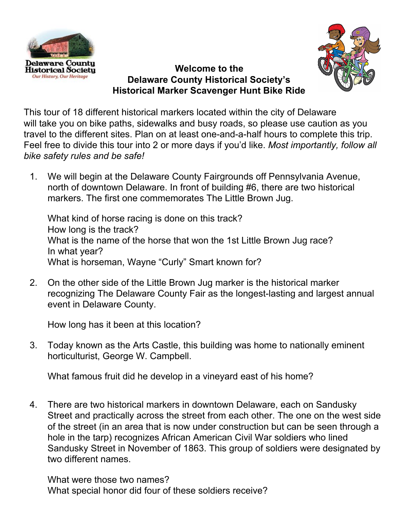



### **Welcome to the Delaware County Historical Society's Historical Marker Scavenger Hunt Bike Ride**

This tour of 18 different historical markers located within the city of Delaware will take you on bike paths, sidewalks and busy roads, so please use caution as you travel to the different sites. Plan on at least one-and-a-half hours to complete this trip. Feel free to divide this tour into 2 or more days if you'd like. *Most importantly, follow all bike safety rules and be safe!*

1. We will begin at the Delaware County Fairgrounds off Pennsylvania Avenue, north of downtown Delaware. In front of building #6, there are two historical markers. The first one commemorates The Little Brown Jug.

What kind of horse racing is done on this track? How long is the track? What is the name of the horse that won the 1st Little Brown Jug race? In what year? What is horseman, Wayne "Curly" Smart known for?

2. On the other side of the Little Brown Jug marker is the historical marker recognizing The Delaware County Fair as the longest-lasting and largest annual event in Delaware County.

How long has it been at this location?

3. Today known as the Arts Castle, this building was home to nationally eminent horticulturist, George W. Campbell.

What famous fruit did he develop in a vineyard east of his home?

4. There are two historical markers in downtown Delaware, each on Sandusky Street and practically across the street from each other. The one on the west side of the street (in an area that is now under construction but can be seen through a hole in the tarp) recognizes African American Civil War soldiers who lined Sandusky Street in November of 1863. This group of soldiers were designated by two different names.

What were those two names? What special honor did four of these soldiers receive?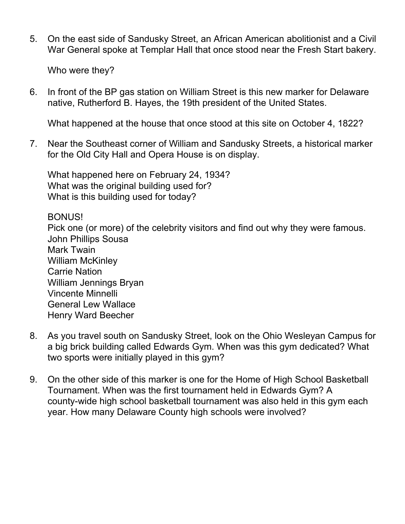5. On the east side of Sandusky Street, an African American abolitionist and a Civil War General spoke at Templar Hall that once stood near the Fresh Start bakery.

Who were they?

6. In front of the BP gas station on William Street is this new marker for Delaware native, Rutherford B. Hayes, the 19th president of the United States.

What happened at the house that once stood at this site on October 4, 1822?

7. Near the Southeast corner of William and Sandusky Streets, a historical marker for the Old City Hall and Opera House is on display.

What happened here on February 24, 1934? What was the original building used for? What is this building used for today?

#### BONUS!

Pick one (or more) of the celebrity visitors and find out why they were famous. John Phillips Sousa Mark Twain William McKinley Carrie Nation William Jennings Bryan Vincente Minnelli General Lew Wallace Henry Ward Beecher

- 8. As you travel south on Sandusky Street, look on the Ohio Wesleyan Campus for a big brick building called Edwards Gym. When was this gym dedicated? What two sports were initially played in this gym?
- 9. On the other side of this marker is one for the Home of High School Basketball Tournament. When was the first tournament held in Edwards Gym? A county-wide high school basketball tournament was also held in this gym each year. How many Delaware County high schools were involved?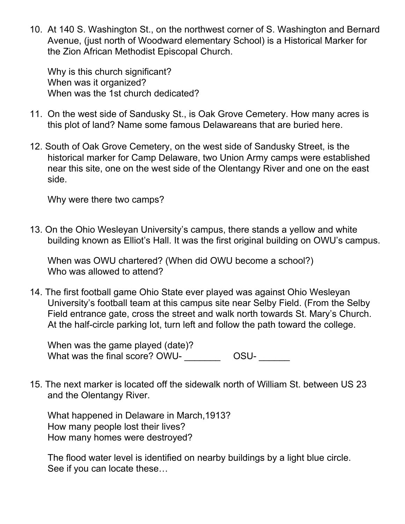10. At 140 S. Washington St., on the northwest corner of S. Washington and Bernard Avenue, (just north of Woodward elementary School) is a Historical Marker for the Zion African Methodist Episcopal Church.

Why is this church significant? When was it organized? When was the 1st church dedicated?

- 11. On the west side of Sandusky St., is Oak Grove Cemetery. How many acres is this plot of land? Name some famous Delawareans that are buried here.
- 12. South of Oak Grove Cemetery, on the west side of Sandusky Street, is the historical marker for Camp Delaware, two Union Army camps were established near this site, one on the west side of the Olentangy River and one on the east side.

Why were there two camps?

13. On the Ohio Wesleyan University's campus, there stands a yellow and white building known as Elliot's Hall. It was the first original building on OWU's campus.

When was OWU chartered? (When did OWU become a school?) Who was allowed to attend?

14. The first football game Ohio State ever played was against Ohio Wesleyan University's football team at this campus site near Selby Field. (From the Selby Field entrance gate, cross the street and walk north towards St. Mary's Church. At the half-circle parking lot, turn left and follow the path toward the college.

When was the game played (date)? What was the final score?  $\overline{OWU}$ - $\overline{\qquad \qquad }$  OSU-

15. The next marker is located off the sidewalk north of William St. between US 23 and the Olentangy River.

What happened in Delaware in March,1913? How many people lost their lives? How many homes were destroyed?

The flood water level is identified on nearby buildings by a light blue circle. See if you can locate these…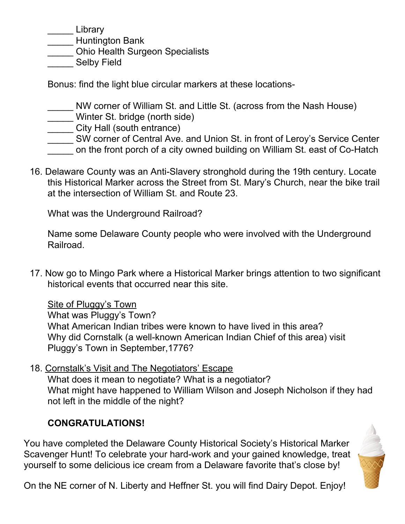\_\_\_\_\_ Library

\_\_\_\_\_ Huntington Bank

\_\_\_\_\_ Ohio Health Surgeon Specialists

Selby Field

Bonus: find the light blue circular markers at these locations-

\_\_\_\_\_ NW corner of William St. and Little St. (across from the Nash House)

Winter St. bridge (north side)

\_\_\_\_ City Hall (south entrance)

\_\_\_\_\_ SW corner of Central Ave. and Union St. in front of Leroy's Service Center

\_\_\_\_\_ on the front porch of a city owned building on William St. east of Co-Hatch

16. Delaware County was an Anti-Slavery stronghold during the 19th century. Locate this Historical Marker across the Street from St. Mary's Church, near the bike trail at the intersection of William St. and Route 23.

What was the Underground Railroad?

Name some Delaware County people who were involved with the Underground Railroad.

17. Now go to Mingo Park where a Historical Marker brings attention to two significant historical events that occurred near this site.

Site of Pluggy's Town

What was Pluggy's Town?

What American Indian tribes were known to have lived in this area? Why did Cornstalk (a well-known American Indian Chief of this area) visit Pluggy's Town in September,1776?

18. Cornstalk's Visit and The Negotiators' Escape What does it mean to negotiate? What is a negotiator? What might have happened to William Wilson and Joseph Nicholson if they had not left in the middle of the night?

# **CONGRATULATIONS!**

You have completed the Delaware County Historical Society's Historical Marker Scavenger Hunt! To celebrate your hard-work and your gained knowledge, treat yourself to some delicious ice cream from a Delaware favorite that's close by!



On the NE corner of N. Liberty and Heffner St. you will find Dairy Depot. Enjoy!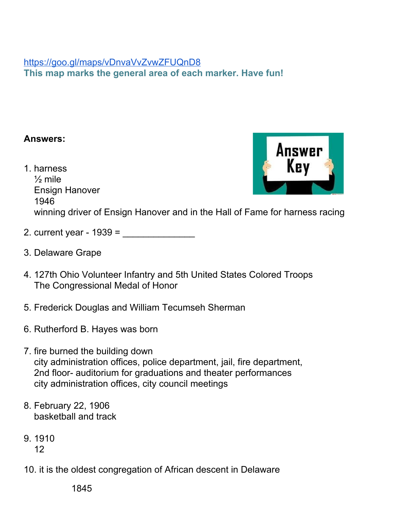### <https://goo.gl/maps/vDnvaVvZvwZFUQnD8> **This map marks the general area of each marker. Have fun!**

### **Answers:**

- 1. harness  $\frac{1}{2}$  mile Ensign Hanover 1946 winning driver of Ensign Hanover and in the Hall of Fame for harness racing
- 2. current year  $1939 =$
- 3. Delaware Grape
- 4. 127th Ohio Volunteer Infantry and 5th United States Colored Troops The Congressional Medal of Honor
- 5. Frederick Douglas and William Tecumseh Sherman
- 6. Rutherford B. Hayes was born
- 7. fire burned the building down city administration offices, police department, jail, fire department, 2nd floor- auditorium for graduations and theater performances city administration offices, city council meetings
- 8. February 22, 1906 basketball and track
- 9. 1910 12
- 10. it is the oldest congregation of African descent in Delaware

1845

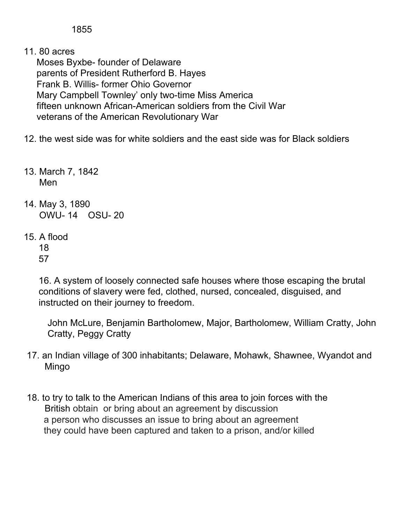1855

11. 80 acres

Moses Byxbe- founder of Delaware parents of President Rutherford B. Hayes Frank B. Willis- former Ohio Governor Mary Campbell Townley' only two-time Miss America fifteen unknown African-American soldiers from the Civil War veterans of the American Revolutionary War

- 12. the west side was for white soldiers and the east side was for Black soldiers
- 13. March 7, 1842 Men
- 14. May 3, 1890 OWU- 14 OSU- 20
- 15. A flood
	- 18 57

16. A system of loosely connected safe houses where those escaping the brutal conditions of slavery were fed, clothed, nursed, concealed, disguised, and instructed on their journey to freedom.

John McLure, Benjamin Bartholomew, Major, Bartholomew, William Cratty, John Cratty, Peggy Cratty

- 17. an Indian village of 300 inhabitants; Delaware, Mohawk, Shawnee, Wyandot and Mingo
- 18. to try to talk to the American Indians of this area to join forces with the British obtain or bring about an agreement by discussion a person who discusses an issue to bring about an agreement they could have been captured and taken to a prison, and/or killed